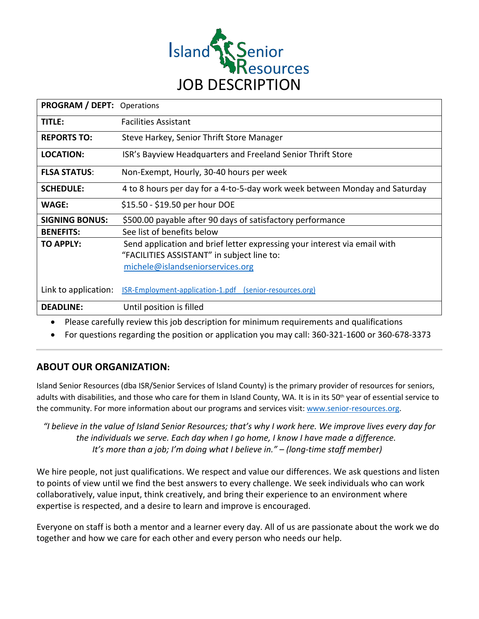

| <b>PROGRAM / DEPT: Operations</b> |                                                                             |
|-----------------------------------|-----------------------------------------------------------------------------|
| TITLE:                            | <b>Facilities Assistant</b>                                                 |
| <b>REPORTS TO:</b>                | Steve Harkey, Senior Thrift Store Manager                                   |
| <b>LOCATION:</b>                  | ISR's Bayview Headquarters and Freeland Senior Thrift Store                 |
| <b>FLSA STATUS:</b>               | Non-Exempt, Hourly, 30-40 hours per week                                    |
| <b>SCHEDULE:</b>                  | 4 to 8 hours per day for a 4-to-5-day work week between Monday and Saturday |
| WAGE:                             | \$15.50 - \$19.50 per hour DOE                                              |
| <b>SIGNING BONUS:</b>             | \$500.00 payable after 90 days of satisfactory performance                  |
| <b>BENEFITS:</b>                  | See list of benefits below                                                  |
| <b>TO APPLY:</b>                  | Send application and brief letter expressing your interest via email with   |
|                                   | "FACILITIES ASSISTANT" in subject line to:                                  |
|                                   | michele@islandseniorservices.org                                            |
| Link to application:              | ISR-Employment-application-1.pdf (senior-resources.org)                     |
| <b>DEADLINE:</b>                  | Until position is filled                                                    |

• Please carefully review this job description for minimum requirements and qualifications

• For questions regarding the position or application you may call: 360-321-1600 or 360-678-3373

# **ABOUT OUR ORGANIZATION:**

Island Senior Resources (dba ISR/Senior Services of Island County) is the primary provider of resources for seniors, adults with disabilities, and those who care for them in Island County, WA. It is in its 50<sup>th</sup> year of essential service to the community. For more information about our programs and services visit: www.senior-resources.org.

*"I believe in the value of Island Senior Resources; that's why I work here. We improve lives every day for the individuals we serve. Each day when I go home, I know I have made a difference.  It's more than a job; I'm doing what I believe in." – (long-time staff member)*

We hire people, not just qualifications. We respect and value our differences. We ask questions and listen to points of view until we find the best answers to every challenge. We seek individuals who can work collaboratively, value input, think creatively, and bring their experience to an environment where expertise is respected, and a desire to learn and improve is encouraged. 

Everyone on staff is both a mentor and a learner every day. All of us are passionate about the work we do together and how we care for each other and every person who needs our help.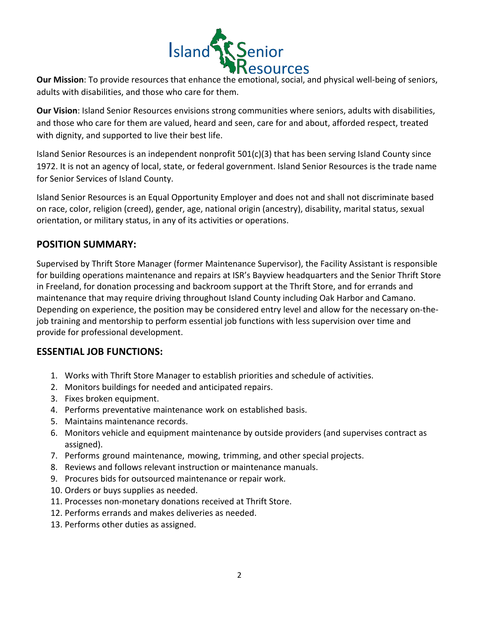

**Our Mission**: To provide resources that enhance the emotional, social, and physical well-being of seniors, adults with disabilities, and those who care for them.

**Our Vision**: Island Senior Resources envisions strong communities where seniors, adults with disabilities, and those who care for them are valued, heard and seen, care for and about, afforded respect, treated with dignity, and supported to live their best life.

Island Senior Resources is an independent nonprofit 501(c)(3) that has been serving Island County since 1972. It is not an agency of local, state, or federal government. Island Senior Resources is the trade name for Senior Services of Island County.

Island Senior Resources is an Equal Opportunity Employer and does not and shall not discriminate based on race, color, religion (creed), gender, age, national origin (ancestry), disability, marital status, sexual orientation, or military status, in any of its activities or operations.

# **POSITION SUMMARY:**

Supervised by Thrift Store Manager (former Maintenance Supervisor), the Facility Assistant is responsible for building operations maintenance and repairs at ISR's Bayview headquarters and the Senior Thrift Store in Freeland, for donation processing and backroom support at the Thrift Store, and for errands and maintenance that may require driving throughout Island County including Oak Harbor and Camano. Depending on experience, the position may be considered entry level and allow for the necessary on-thejob training and mentorship to perform essential job functions with less supervision over time and provide for professional development.

## **ESSENTIAL JOB FUNCTIONS:**

- 1. Works with Thrift Store Manager to establish priorities and schedule of activities.
- 2. Monitors buildings for needed and anticipated repairs.
- 3. Fixes broken equipment.
- 4. Performs preventative maintenance work on established basis.
- 5. Maintains maintenance records.
- 6. Monitors vehicle and equipment maintenance by outside providers (and supervises contract as assigned).
- 7. Performs ground maintenance, mowing, trimming, and other special projects.
- 8. Reviews and follows relevant instruction or maintenance manuals.
- 9. Procures bids for outsourced maintenance or repair work.
- 10. Orders or buys supplies as needed.
- 11. Processes non-monetary donations received at Thrift Store.
- 12. Performs errands and makes deliveries as needed.
- 13. Performs other duties as assigned.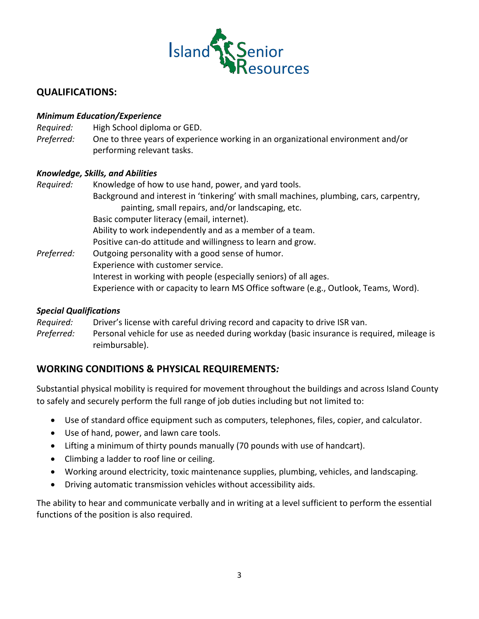

# **QUALIFICATIONS:**

### *Minimum Education/Experience*

*Required:* High School diploma or GED.

*Preferred:* One to three years of experience working in an organizational environment and/or performing relevant tasks.

### *Knowledge, Skills, and Abilities*

*Required:* Knowledge of how to use hand, power, and yard tools. Background and interest in 'tinkering' with small machines, plumbing, cars, carpentry, painting, small repairs, and/or landscaping, etc. Basic computer literacy (email, internet). Ability to work independently and as a member of a team. Positive can-do attitude and willingness to learn and grow. *Preferred:* Outgoing personality with a good sense of humor. Experience with customer service. Interest in working with people (especially seniors) of all ages. Experience with or capacity to learn MS Office software (e.g., Outlook, Teams, Word).

### *Special Qualifications*

- *Required:* Driver's license with careful driving record and capacity to drive ISR van.
- *Preferred:* Personal vehicle for use as needed during workday (basic insurance is required, mileage is reimbursable).

## **WORKING CONDITIONS & PHYSICAL REQUIREMENTS***:*

Substantial physical mobility is required for movement throughout the buildings and across Island County to safely and securely perform the full range of job duties including but not limited to:

- Use of standard office equipment such as computers, telephones, files, copier, and calculator.
- Use of hand, power, and lawn care tools.
- Lifting a minimum of thirty pounds manually (70 pounds with use of handcart).
- Climbing a ladder to roof line or ceiling.
- Working around electricity, toxic maintenance supplies, plumbing, vehicles, and landscaping.
- Driving automatic transmission vehicles without accessibility aids.

The ability to hear and communicate verbally and in writing at a level sufficient to perform the essential functions of the position is also required.